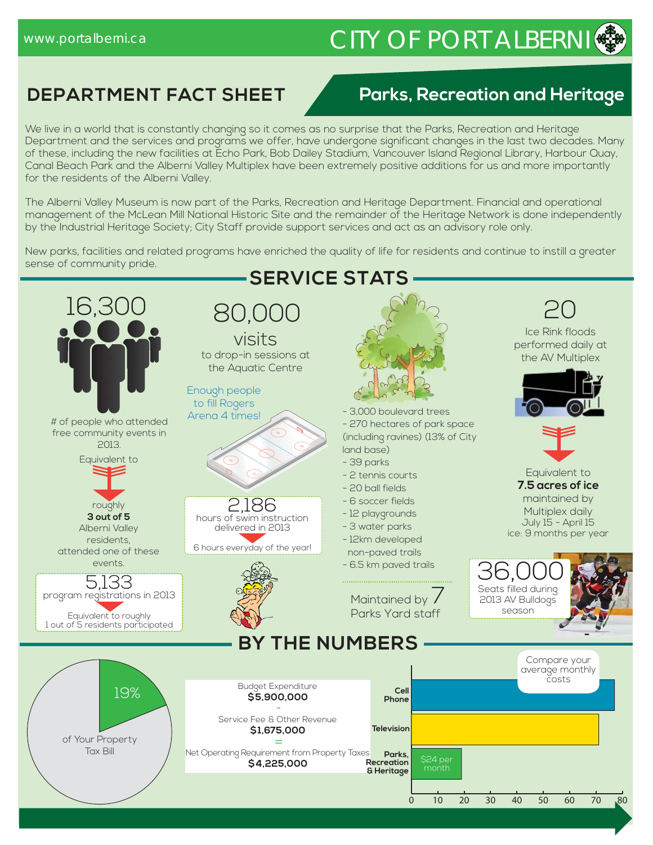# www.portalberni.ca CITY OF PORT ALBERNI

# **DEPARTMENT FACT SHEET**

## **Parks, Recreation and Heritage**

We live in a world that is constantly changing so it comes as no surprise that the Parks, Recreation and Heritage Department and the services and programs we offer, have undergone significant changes in the last two decades. Many of these, including the new facilities at Echo Park, Bob Dailey Stadium, Vancouver Island Regional Library, Harbour Quay, Canal Beach Park and the Alberni Valley Multiplex have been extremely positive additions for us and more importantly for the residents of the Alberni Valley.

The Alberni Valley Museum is now part of the Parks, Recreation and Heritage Department. Financial and operational management of the McLean Mill National Historic Site and the remainder of the Heritage Network is done independently by the Industrial Heritage Society; City Staff provide support services and act as an advisory role only.

New parks, facilities and related programs have enriched the quality of life for residents and continue to instill a greater sense of community pride.